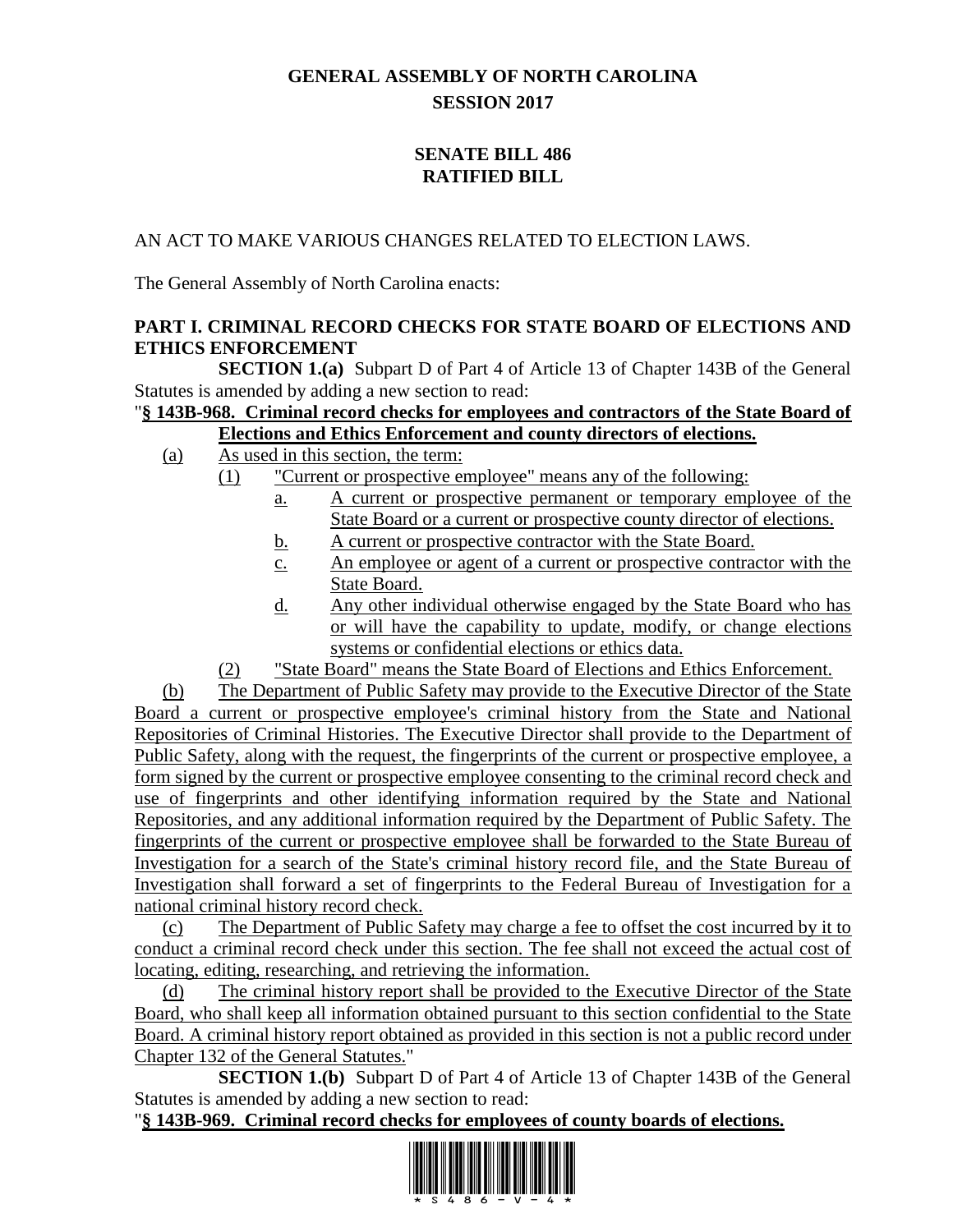# **GENERAL ASSEMBLY OF NORTH CAROLINA SESSION 2017**

### **SENATE BILL 486 RATIFIED BILL**

AN ACT TO MAKE VARIOUS CHANGES RELATED TO ELECTION LAWS.

The General Assembly of North Carolina enacts:

## **PART I. CRIMINAL RECORD CHECKS FOR STATE BOARD OF ELECTIONS AND ETHICS ENFORCEMENT**

**SECTION 1.(a)** Subpart D of Part 4 of Article 13 of Chapter 143B of the General Statutes is amended by adding a new section to read:

#### "**§ 143B-968. Criminal record checks for employees and contractors of the State Board of Elections and Ethics Enforcement and county directors of elections.**

- (a) As used in this section, the term:
	- (1) "Current or prospective employee" means any of the following:
		- a. A current or prospective permanent or temporary employee of the State Board or a current or prospective county director of elections.
		- b. A current or prospective contractor with the State Board.
		- c. An employee or agent of a current or prospective contractor with the State Board.
		- d. Any other individual otherwise engaged by the State Board who has or will have the capability to update, modify, or change elections systems or confidential elections or ethics data.
		- (2) "State Board" means the State Board of Elections and Ethics Enforcement.

(b) The Department of Public Safety may provide to the Executive Director of the State Board a current or prospective employee's criminal history from the State and National Repositories of Criminal Histories. The Executive Director shall provide to the Department of Public Safety, along with the request, the fingerprints of the current or prospective employee, a form signed by the current or prospective employee consenting to the criminal record check and use of fingerprints and other identifying information required by the State and National Repositories, and any additional information required by the Department of Public Safety. The fingerprints of the current or prospective employee shall be forwarded to the State Bureau of Investigation for a search of the State's criminal history record file, and the State Bureau of Investigation shall forward a set of fingerprints to the Federal Bureau of Investigation for a national criminal history record check.

(c) The Department of Public Safety may charge a fee to offset the cost incurred by it to conduct a criminal record check under this section. The fee shall not exceed the actual cost of locating, editing, researching, and retrieving the information.

(d) The criminal history report shall be provided to the Executive Director of the State Board, who shall keep all information obtained pursuant to this section confidential to the State Board. A criminal history report obtained as provided in this section is not a public record under Chapter 132 of the General Statutes."

**SECTION 1.(b)** Subpart D of Part 4 of Article 13 of Chapter 143B of the General Statutes is amended by adding a new section to read:

"**§ 143B-969. Criminal record checks for employees of county boards of elections.**

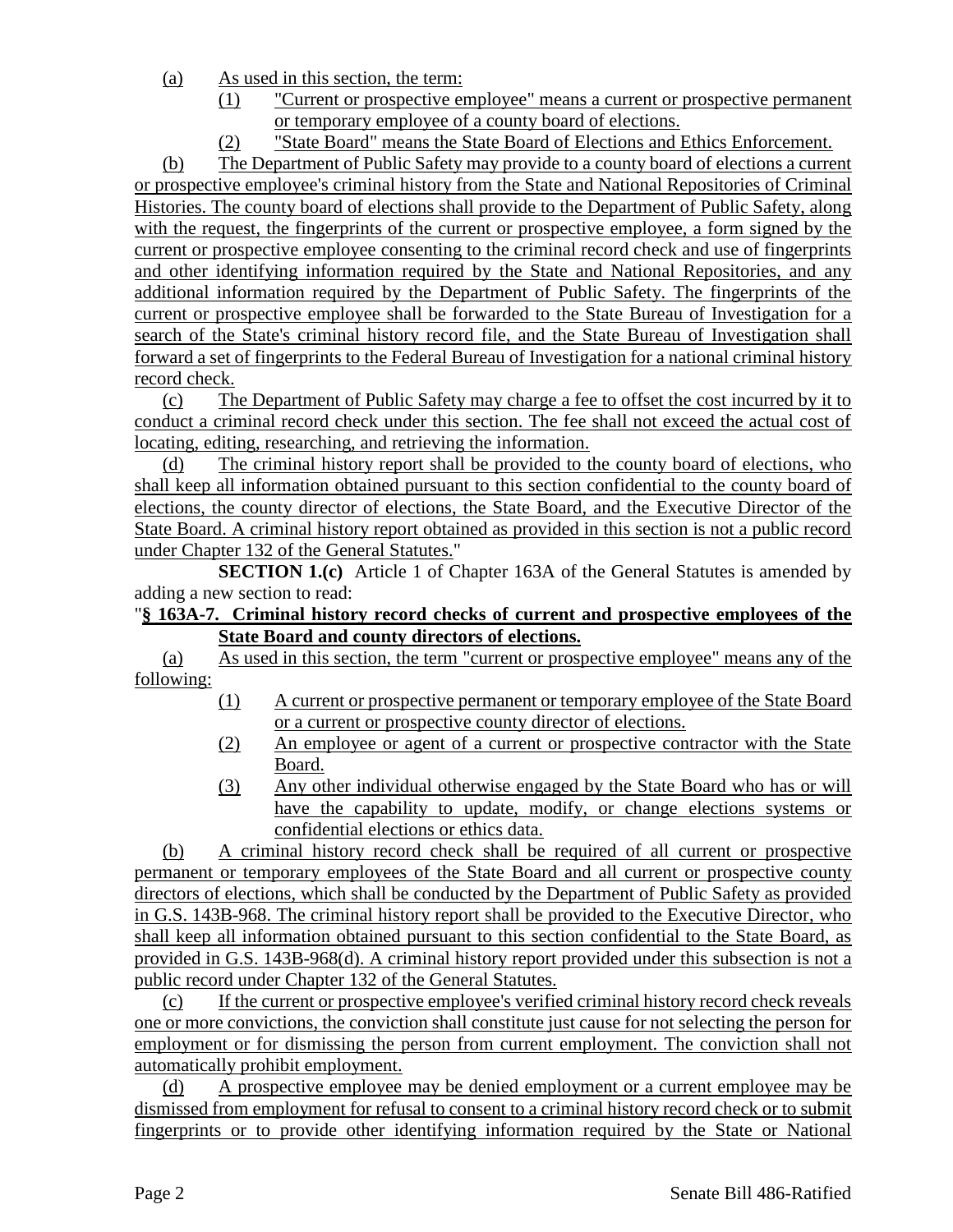- (a) As used in this section, the term:
	- (1) "Current or prospective employee" means a current or prospective permanent or temporary employee of a county board of elections.
	- (2) "State Board" means the State Board of Elections and Ethics Enforcement.

(b) The Department of Public Safety may provide to a county board of elections a current or prospective employee's criminal history from the State and National Repositories of Criminal Histories. The county board of elections shall provide to the Department of Public Safety, along with the request, the fingerprints of the current or prospective employee, a form signed by the current or prospective employee consenting to the criminal record check and use of fingerprints and other identifying information required by the State and National Repositories, and any additional information required by the Department of Public Safety. The fingerprints of the current or prospective employee shall be forwarded to the State Bureau of Investigation for a search of the State's criminal history record file, and the State Bureau of Investigation shall forward a set of fingerprints to the Federal Bureau of Investigation for a national criminal history record check.

(c) The Department of Public Safety may charge a fee to offset the cost incurred by it to conduct a criminal record check under this section. The fee shall not exceed the actual cost of locating, editing, researching, and retrieving the information.

(d) The criminal history report shall be provided to the county board of elections, who shall keep all information obtained pursuant to this section confidential to the county board of elections, the county director of elections, the State Board, and the Executive Director of the State Board. A criminal history report obtained as provided in this section is not a public record under Chapter 132 of the General Statutes."

**SECTION 1.(c)** Article 1 of Chapter 163A of the General Statutes is amended by adding a new section to read:

#### "**§ 163A-7. Criminal history record checks of current and prospective employees of the State Board and county directors of elections.**

(a) As used in this section, the term "current or prospective employee" means any of the following:

- (1) A current or prospective permanent or temporary employee of the State Board or a current or prospective county director of elections.
- (2) An employee or agent of a current or prospective contractor with the State Board.
- (3) Any other individual otherwise engaged by the State Board who has or will have the capability to update, modify, or change elections systems or confidential elections or ethics data.

(b) A criminal history record check shall be required of all current or prospective permanent or temporary employees of the State Board and all current or prospective county directors of elections, which shall be conducted by the Department of Public Safety as provided in G.S. 143B-968. The criminal history report shall be provided to the Executive Director, who shall keep all information obtained pursuant to this section confidential to the State Board, as provided in G.S. 143B-968(d). A criminal history report provided under this subsection is not a public record under Chapter 132 of the General Statutes.

(c) If the current or prospective employee's verified criminal history record check reveals one or more convictions, the conviction shall constitute just cause for not selecting the person for employment or for dismissing the person from current employment. The conviction shall not automatically prohibit employment.

(d) A prospective employee may be denied employment or a current employee may be dismissed from employment for refusal to consent to a criminal history record check or to submit fingerprints or to provide other identifying information required by the State or National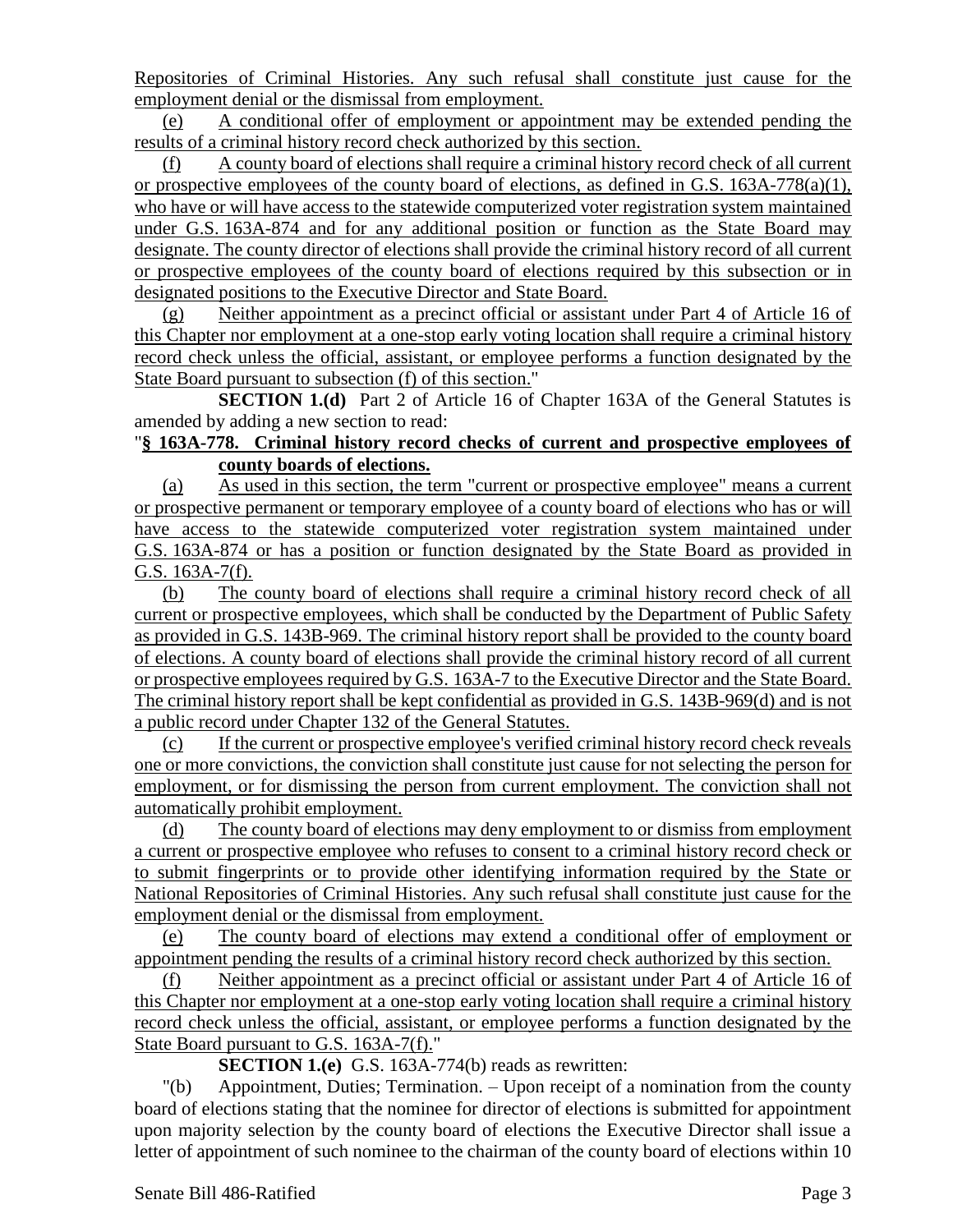Repositories of Criminal Histories. Any such refusal shall constitute just cause for the employment denial or the dismissal from employment.

(e) A conditional offer of employment or appointment may be extended pending the results of a criminal history record check authorized by this section.

(f) A county board of elections shall require a criminal history record check of all current or prospective employees of the county board of elections, as defined in G.S. 163A-778(a)(1), who have or will have access to the statewide computerized voter registration system maintained under G.S. 163A-874 and for any additional position or function as the State Board may designate. The county director of elections shall provide the criminal history record of all current or prospective employees of the county board of elections required by this subsection or in designated positions to the Executive Director and State Board.

(g) Neither appointment as a precinct official or assistant under Part 4 of Article 16 of this Chapter nor employment at a one-stop early voting location shall require a criminal history record check unless the official, assistant, or employee performs a function designated by the State Board pursuant to subsection (f) of this section."

**SECTION 1.(d)** Part 2 of Article 16 of Chapter 163A of the General Statutes is amended by adding a new section to read:

#### "**§ 163A-778. Criminal history record checks of current and prospective employees of county boards of elections.**

(a) As used in this section, the term "current or prospective employee" means a current or prospective permanent or temporary employee of a county board of elections who has or will have access to the statewide computerized voter registration system maintained under G.S. 163A-874 or has a position or function designated by the State Board as provided in G.S. 163A-7(f).

(b) The county board of elections shall require a criminal history record check of all current or prospective employees, which shall be conducted by the Department of Public Safety as provided in G.S. 143B-969. The criminal history report shall be provided to the county board of elections. A county board of elections shall provide the criminal history record of all current or prospective employees required by G.S. 163A-7 to the Executive Director and the State Board. The criminal history report shall be kept confidential as provided in G.S. 143B-969(d) and is not a public record under Chapter 132 of the General Statutes.

(c) If the current or prospective employee's verified criminal history record check reveals one or more convictions, the conviction shall constitute just cause for not selecting the person for employment, or for dismissing the person from current employment. The conviction shall not automatically prohibit employment.

(d) The county board of elections may deny employment to or dismiss from employment a current or prospective employee who refuses to consent to a criminal history record check or to submit fingerprints or to provide other identifying information required by the State or National Repositories of Criminal Histories. Any such refusal shall constitute just cause for the employment denial or the dismissal from employment.

(e) The county board of elections may extend a conditional offer of employment or appointment pending the results of a criminal history record check authorized by this section.

(f) Neither appointment as a precinct official or assistant under Part 4 of Article 16 of this Chapter nor employment at a one-stop early voting location shall require a criminal history record check unless the official, assistant, or employee performs a function designated by the State Board pursuant to G.S. 163A-7(f)."

**SECTION 1.(e)** G.S. 163A-774(b) reads as rewritten:

"(b) Appointment, Duties; Termination. – Upon receipt of a nomination from the county board of elections stating that the nominee for director of elections is submitted for appointment upon majority selection by the county board of elections the Executive Director shall issue a letter of appointment of such nominee to the chairman of the county board of elections within 10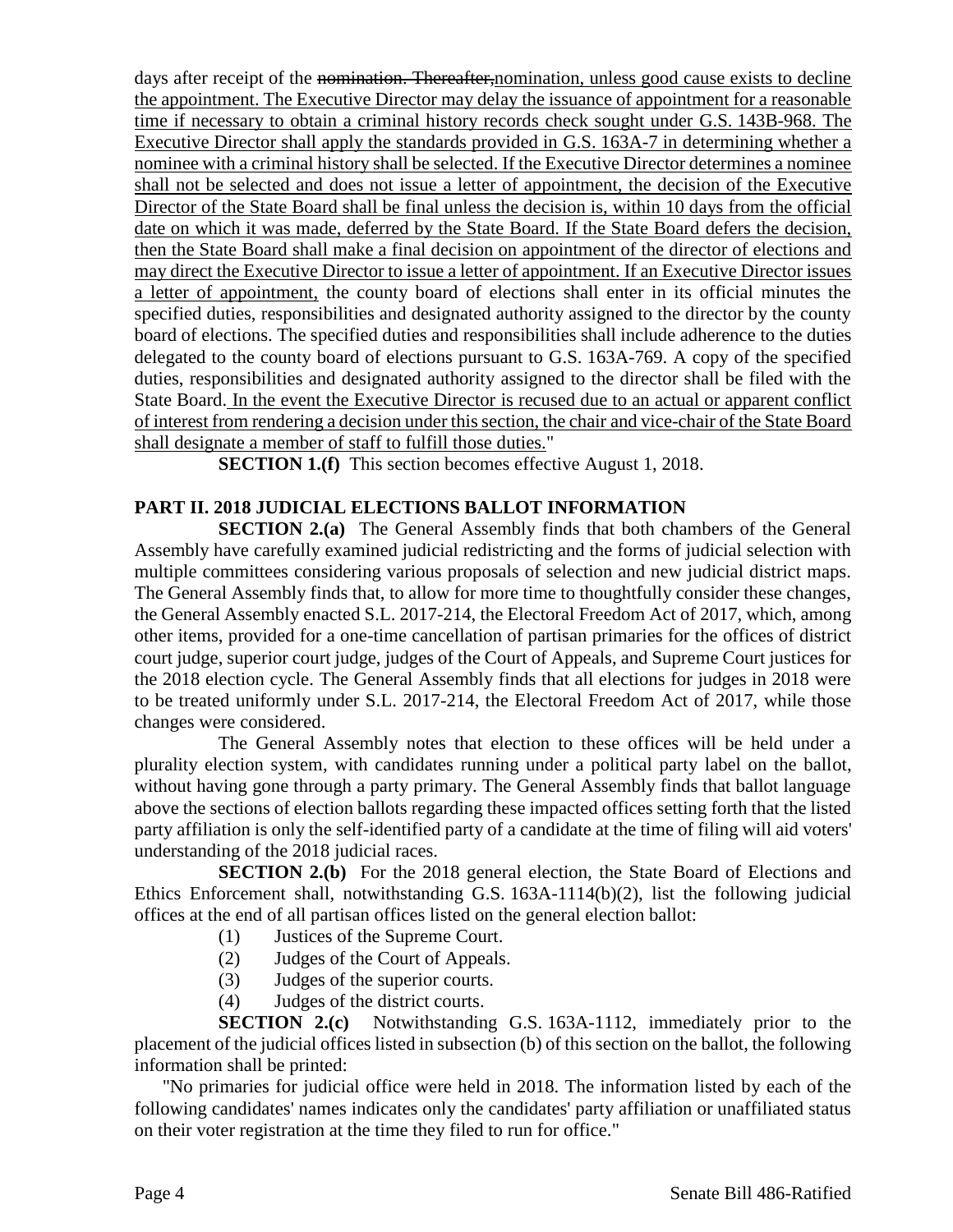days after receipt of the nomination. Thereafter, nomination, unless good cause exists to decline the appointment. The Executive Director may delay the issuance of appointment for a reasonable time if necessary to obtain a criminal history records check sought under G.S. 143B-968. The Executive Director shall apply the standards provided in G.S. 163A-7 in determining whether a nominee with a criminal history shall be selected. If the Executive Director determines a nominee shall not be selected and does not issue a letter of appointment, the decision of the Executive Director of the State Board shall be final unless the decision is, within 10 days from the official date on which it was made, deferred by the State Board. If the State Board defers the decision, then the State Board shall make a final decision on appointment of the director of elections and may direct the Executive Director to issue a letter of appointment. If an Executive Director issues a letter of appointment, the county board of elections shall enter in its official minutes the specified duties, responsibilities and designated authority assigned to the director by the county board of elections. The specified duties and responsibilities shall include adherence to the duties delegated to the county board of elections pursuant to G.S. 163A-769. A copy of the specified duties, responsibilities and designated authority assigned to the director shall be filed with the State Board. In the event the Executive Director is recused due to an actual or apparent conflict of interest from rendering a decision under this section, the chair and vice-chair of the State Board shall designate a member of staff to fulfill those duties."

**SECTION 1.(f)** This section becomes effective August 1, 2018.

#### **PART II. 2018 JUDICIAL ELECTIONS BALLOT INFORMATION**

**SECTION 2.(a)** The General Assembly finds that both chambers of the General Assembly have carefully examined judicial redistricting and the forms of judicial selection with multiple committees considering various proposals of selection and new judicial district maps. The General Assembly finds that, to allow for more time to thoughtfully consider these changes, the General Assembly enacted S.L. 2017-214, the Electoral Freedom Act of 2017, which, among other items, provided for a one-time cancellation of partisan primaries for the offices of district court judge, superior court judge, judges of the Court of Appeals, and Supreme Court justices for the 2018 election cycle. The General Assembly finds that all elections for judges in 2018 were to be treated uniformly under S.L. 2017-214, the Electoral Freedom Act of 2017, while those changes were considered.

The General Assembly notes that election to these offices will be held under a plurality election system, with candidates running under a political party label on the ballot, without having gone through a party primary. The General Assembly finds that ballot language above the sections of election ballots regarding these impacted offices setting forth that the listed party affiliation is only the self-identified party of a candidate at the time of filing will aid voters' understanding of the 2018 judicial races.

**SECTION 2.(b)** For the 2018 general election, the State Board of Elections and Ethics Enforcement shall, notwithstanding G.S. 163A-1114(b)(2), list the following judicial offices at the end of all partisan offices listed on the general election ballot:

- (1) Justices of the Supreme Court.
- (2) Judges of the Court of Appeals.
- (3) Judges of the superior courts.
- (4) Judges of the district courts.

**SECTION 2.(c)** Notwithstanding G.S. 163A-1112, immediately prior to the placement of the judicial offices listed in subsection (b) of this section on the ballot, the following information shall be printed:

"No primaries for judicial office were held in 2018. The information listed by each of the following candidates' names indicates only the candidates' party affiliation or unaffiliated status on their voter registration at the time they filed to run for office."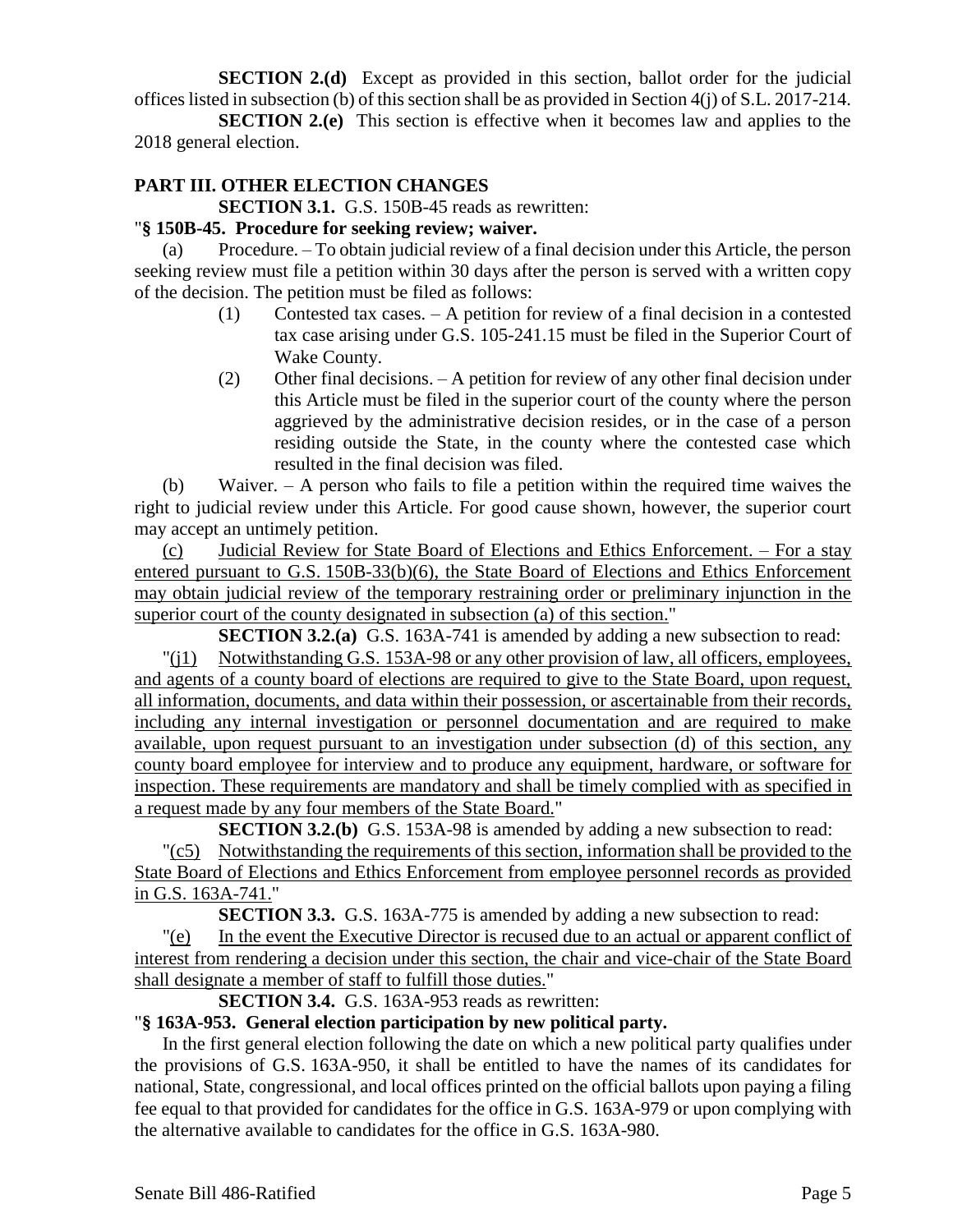**SECTION 2.(d)** Except as provided in this section, ballot order for the judicial offices listed in subsection (b) of this section shall be as provided in Section 4(j) of S.L. 2017-214.

**SECTION 2.(e)** This section is effective when it becomes law and applies to the 2018 general election.

### **PART III. OTHER ELECTION CHANGES**

**SECTION 3.1.** G.S. 150B-45 reads as rewritten:

#### "**§ 150B-45. Procedure for seeking review; waiver.**

(a) Procedure. – To obtain judicial review of a final decision under this Article, the person seeking review must file a petition within 30 days after the person is served with a written copy of the decision. The petition must be filed as follows:

- (1) Contested tax cases. A petition for review of a final decision in a contested tax case arising under G.S. 105-241.15 must be filed in the Superior Court of Wake County.
- (2) Other final decisions. A petition for review of any other final decision under this Article must be filed in the superior court of the county where the person aggrieved by the administrative decision resides, or in the case of a person residing outside the State, in the county where the contested case which resulted in the final decision was filed.

(b) Waiver. – A person who fails to file a petition within the required time waives the right to judicial review under this Article. For good cause shown, however, the superior court may accept an untimely petition.

(c) Judicial Review for State Board of Elections and Ethics Enforcement. – For a stay entered pursuant to G.S. 150B-33(b)(6), the State Board of Elections and Ethics Enforcement may obtain judicial review of the temporary restraining order or preliminary injunction in the superior court of the county designated in subsection (a) of this section."

**SECTION 3.2.(a)** G.S. 163A-741 is amended by adding a new subsection to read:

"(j1) Notwithstanding G.S. 153A-98 or any other provision of law, all officers, employees, and agents of a county board of elections are required to give to the State Board, upon request, all information, documents, and data within their possession, or ascertainable from their records, including any internal investigation or personnel documentation and are required to make available, upon request pursuant to an investigation under subsection (d) of this section, any county board employee for interview and to produce any equipment, hardware, or software for inspection. These requirements are mandatory and shall be timely complied with as specified in a request made by any four members of the State Board."

**SECTION 3.2.(b)** G.S. 153A-98 is amended by adding a new subsection to read:

"(c5) Notwithstanding the requirements of this section, information shall be provided to the State Board of Elections and Ethics Enforcement from employee personnel records as provided in G.S. 163A-741."

**SECTION 3.3.** G.S. 163A-775 is amended by adding a new subsection to read:

"(e) In the event the Executive Director is recused due to an actual or apparent conflict of interest from rendering a decision under this section, the chair and vice-chair of the State Board shall designate a member of staff to fulfill those duties."

**SECTION 3.4.** G.S. 163A-953 reads as rewritten:

#### "**§ 163A-953. General election participation by new political party.**

In the first general election following the date on which a new political party qualifies under the provisions of G.S. 163A-950, it shall be entitled to have the names of its candidates for national, State, congressional, and local offices printed on the official ballots upon paying a filing fee equal to that provided for candidates for the office in G.S. 163A-979 or upon complying with the alternative available to candidates for the office in G.S. 163A-980.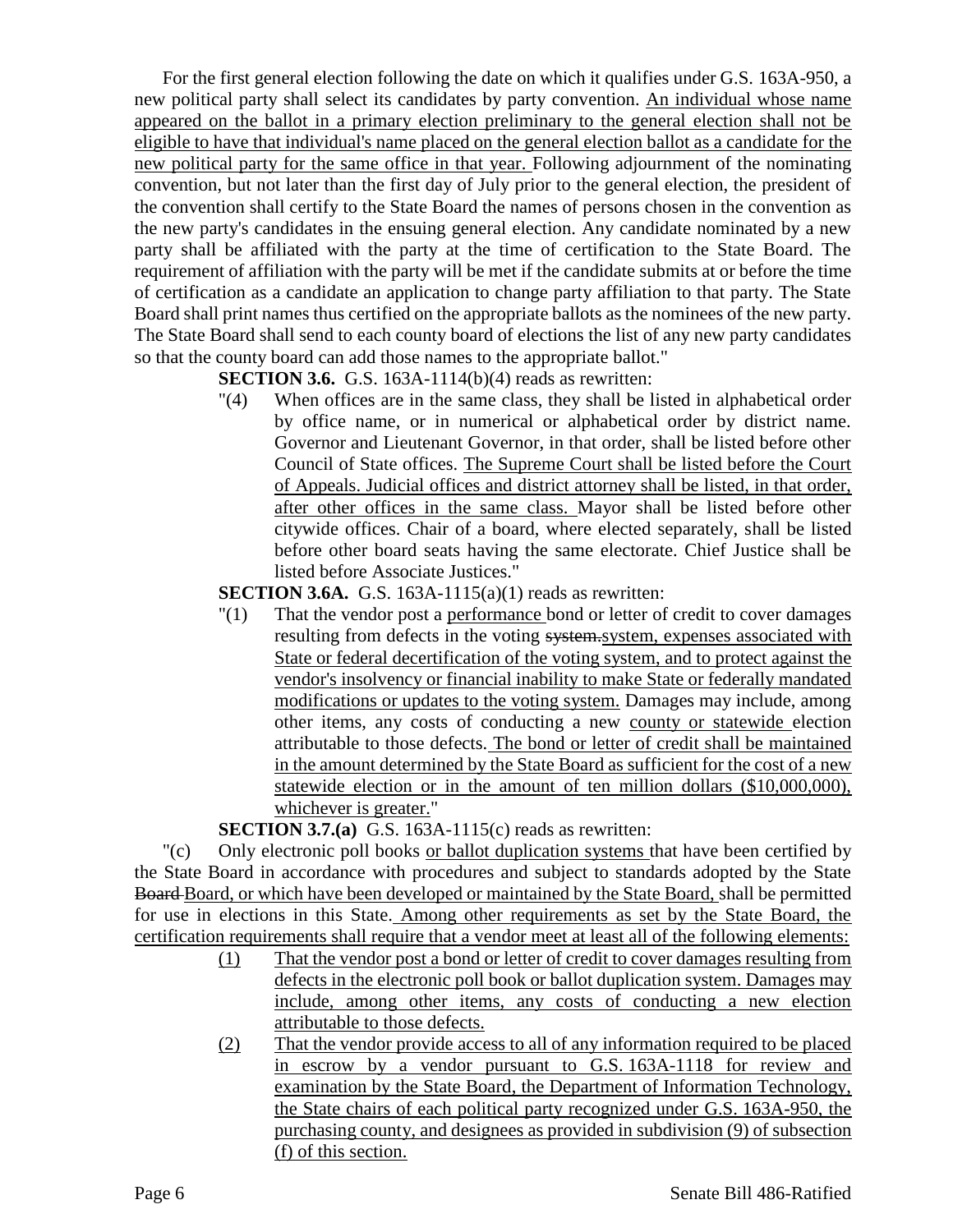For the first general election following the date on which it qualifies under G.S. 163A-950, a new political party shall select its candidates by party convention. An individual whose name appeared on the ballot in a primary election preliminary to the general election shall not be eligible to have that individual's name placed on the general election ballot as a candidate for the new political party for the same office in that year. Following adjournment of the nominating convention, but not later than the first day of July prior to the general election, the president of the convention shall certify to the State Board the names of persons chosen in the convention as the new party's candidates in the ensuing general election. Any candidate nominated by a new party shall be affiliated with the party at the time of certification to the State Board. The requirement of affiliation with the party will be met if the candidate submits at or before the time of certification as a candidate an application to change party affiliation to that party. The State Board shall print names thus certified on the appropriate ballots as the nominees of the new party. The State Board shall send to each county board of elections the list of any new party candidates so that the county board can add those names to the appropriate ballot."

- **SECTION 3.6.** G.S. 163A-1114(b)(4) reads as rewritten:
- "(4) When offices are in the same class, they shall be listed in alphabetical order by office name, or in numerical or alphabetical order by district name. Governor and Lieutenant Governor, in that order, shall be listed before other Council of State offices. The Supreme Court shall be listed before the Court of Appeals. Judicial offices and district attorney shall be listed, in that order, after other offices in the same class. Mayor shall be listed before other citywide offices. Chair of a board, where elected separately, shall be listed before other board seats having the same electorate. Chief Justice shall be listed before Associate Justices."

**SECTION 3.6A.** G.S. 163A-1115(a)(1) reads as rewritten:

"(1) That the vendor post a performance bond or letter of credit to cover damages resulting from defects in the voting system.system, expenses associated with State or federal decertification of the voting system, and to protect against the vendor's insolvency or financial inability to make State or federally mandated modifications or updates to the voting system. Damages may include, among other items, any costs of conducting a new county or statewide election attributable to those defects. The bond or letter of credit shall be maintained in the amount determined by the State Board as sufficient for the cost of a new statewide election or in the amount of ten million dollars (\$10,000,000), whichever is greater."

**SECTION 3.7.(a)** G.S. 163A-1115(c) reads as rewritten:

"(c) Only electronic poll books or ballot duplication systems that have been certified by the State Board in accordance with procedures and subject to standards adopted by the State Board Board, or which have been developed or maintained by the State Board, shall be permitted for use in elections in this State. Among other requirements as set by the State Board, the certification requirements shall require that a vendor meet at least all of the following elements:

- (1) That the vendor post a bond or letter of credit to cover damages resulting from defects in the electronic poll book or ballot duplication system. Damages may include, among other items, any costs of conducting a new election attributable to those defects.
- (2) That the vendor provide access to all of any information required to be placed in escrow by a vendor pursuant to G.S. 163A-1118 for review and examination by the State Board, the Department of Information Technology, the State chairs of each political party recognized under G.S. 163A-950, the purchasing county, and designees as provided in subdivision (9) of subsection (f) of this section.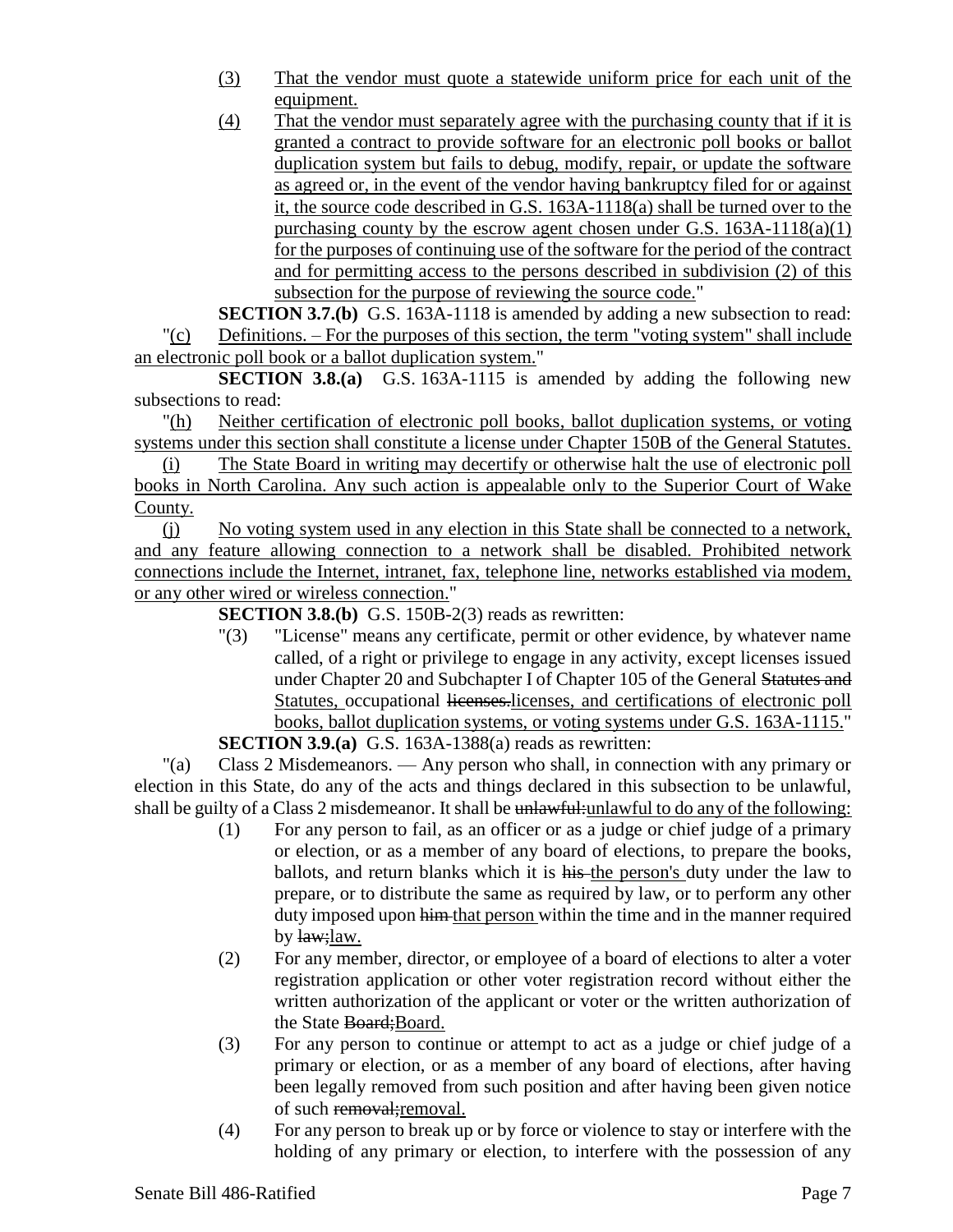- (3) That the vendor must quote a statewide uniform price for each unit of the equipment.
- (4) That the vendor must separately agree with the purchasing county that if it is granted a contract to provide software for an electronic poll books or ballot duplication system but fails to debug, modify, repair, or update the software as agreed or, in the event of the vendor having bankruptcy filed for or against it, the source code described in G.S. 163A-1118(a) shall be turned over to the purchasing county by the escrow agent chosen under G.S. 163A-1118(a)(1) for the purposes of continuing use of the software for the period of the contract and for permitting access to the persons described in subdivision (2) of this subsection for the purpose of reviewing the source code."

**SECTION 3.7.(b)** G.S. 163A-1118 is amended by adding a new subsection to read:  $C$  Definitions. – For the purposes of this section, the term "voting system" shall include an electronic poll book or a ballot duplication system."

**SECTION 3.8.(a)** G.S. 163A-1115 is amended by adding the following new subsections to read:

"(h) Neither certification of electronic poll books, ballot duplication systems, or voting systems under this section shall constitute a license under Chapter 150B of the General Statutes.

(i) The State Board in writing may decertify or otherwise halt the use of electronic poll books in North Carolina. Any such action is appealable only to the Superior Court of Wake County.

(j) No voting system used in any election in this State shall be connected to a network, and any feature allowing connection to a network shall be disabled. Prohibited network connections include the Internet, intranet, fax, telephone line, networks established via modem, or any other wired or wireless connection."

**SECTION 3.8.(b)** G.S. 150B-2(3) reads as rewritten:

"(3) "License" means any certificate, permit or other evidence, by whatever name called, of a right or privilege to engage in any activity, except licenses issued under Chapter 20 and Subchapter I of Chapter 105 of the General Statutes and Statutes, occupational licenses.licenses, and certifications of electronic poll books, ballot duplication systems, or voting systems under G.S. 163A-1115."

**SECTION 3.9.(a)** G.S. 163A-1388(a) reads as rewritten:

"(a) Class 2 Misdemeanors. — Any person who shall, in connection with any primary or election in this State, do any of the acts and things declared in this subsection to be unlawful, shall be guilty of a Class 2 misdemeanor. It shall be unlawful:unlawful to do any of the following:

- (1) For any person to fail, as an officer or as a judge or chief judge of a primary or election, or as a member of any board of elections, to prepare the books, ballots, and return blanks which it is his the person's duty under the law to prepare, or to distribute the same as required by law, or to perform any other duty imposed upon him that person within the time and in the manner required by law;law.
- (2) For any member, director, or employee of a board of elections to alter a voter registration application or other voter registration record without either the written authorization of the applicant or voter or the written authorization of the State Board; Board.
- (3) For any person to continue or attempt to act as a judge or chief judge of a primary or election, or as a member of any board of elections, after having been legally removed from such position and after having been given notice of such removal; removal.
- (4) For any person to break up or by force or violence to stay or interfere with the holding of any primary or election, to interfere with the possession of any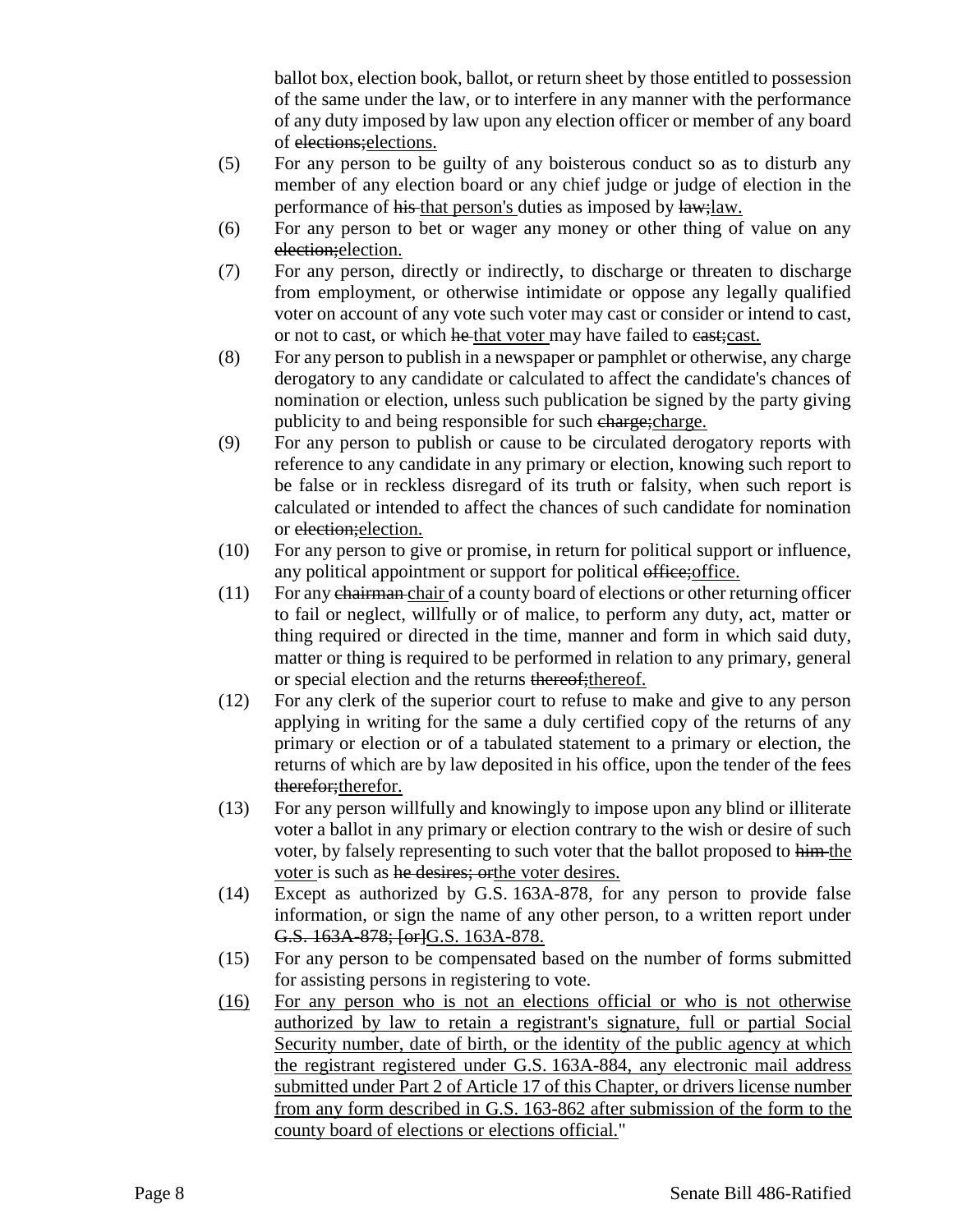ballot box, election book, ballot, or return sheet by those entitled to possession of the same under the law, or to interfere in any manner with the performance of any duty imposed by law upon any election officer or member of any board of elections;elections.

- (5) For any person to be guilty of any boisterous conduct so as to disturb any member of any election board or any chief judge or judge of election in the performance of his that person's duties as imposed by  $\frac{law}{law}$ .
- (6) For any person to bet or wager any money or other thing of value on any election;election.
- (7) For any person, directly or indirectly, to discharge or threaten to discharge from employment, or otherwise intimidate or oppose any legally qualified voter on account of any vote such voter may cast or consider or intend to cast, or not to cast, or which he that voter may have failed to east; cast.
- (8) For any person to publish in a newspaper or pamphlet or otherwise, any charge derogatory to any candidate or calculated to affect the candidate's chances of nomination or election, unless such publication be signed by the party giving publicity to and being responsible for such charge;charge.
- (9) For any person to publish or cause to be circulated derogatory reports with reference to any candidate in any primary or election, knowing such report to be false or in reckless disregard of its truth or falsity, when such report is calculated or intended to affect the chances of such candidate for nomination or election;election.
- (10) For any person to give or promise, in return for political support or influence, any political appointment or support for political office; office.
- (11) For any chairman chair of a county board of elections or other returning officer to fail or neglect, willfully or of malice, to perform any duty, act, matter or thing required or directed in the time, manner and form in which said duty, matter or thing is required to be performed in relation to any primary, general or special election and the returns thereof; thereof.
- (12) For any clerk of the superior court to refuse to make and give to any person applying in writing for the same a duly certified copy of the returns of any primary or election or of a tabulated statement to a primary or election, the returns of which are by law deposited in his office, upon the tender of the fees therefor; therefor.
- (13) For any person willfully and knowingly to impose upon any blind or illiterate voter a ballot in any primary or election contrary to the wish or desire of such voter, by falsely representing to such voter that the ballot proposed to him the voter is such as he desires; orthe voter desires.
- (14) Except as authorized by G.S. 163A-878, for any person to provide false information, or sign the name of any other person, to a written report under G.S. 163A-878; [or]G.S. 163A-878.
- (15) For any person to be compensated based on the number of forms submitted for assisting persons in registering to vote.
- (16) For any person who is not an elections official or who is not otherwise authorized by law to retain a registrant's signature, full or partial Social Security number, date of birth, or the identity of the public agency at which the registrant registered under G.S. 163A-884, any electronic mail address submitted under Part 2 of Article 17 of this Chapter, or drivers license number from any form described in G.S. 163-862 after submission of the form to the county board of elections or elections official."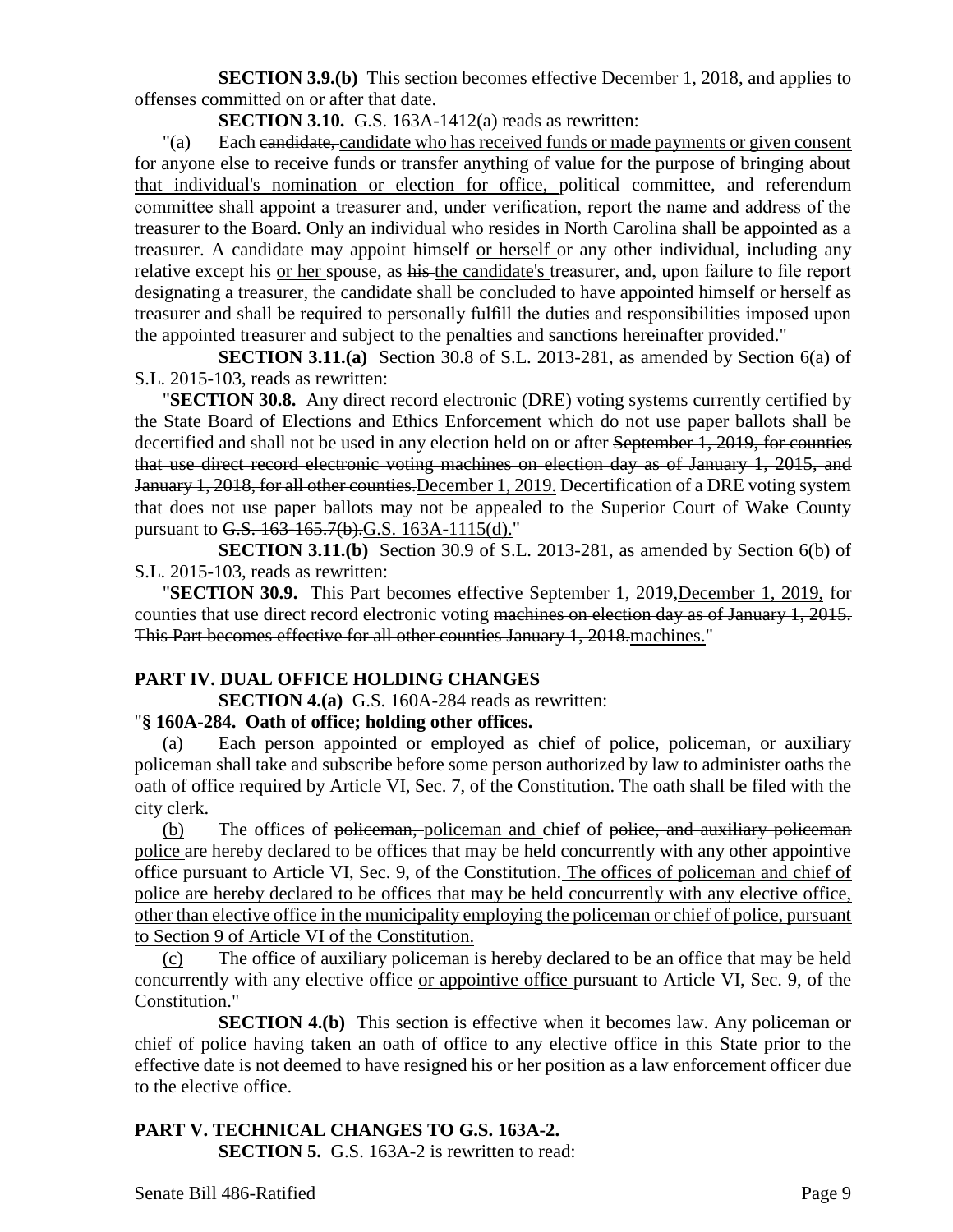**SECTION 3.9.(b)** This section becomes effective December 1, 2018, and applies to offenses committed on or after that date.

**SECTION 3.10.** G.S. 163A-1412(a) reads as rewritten:

"(a) Each candidate, candidate who has received funds or made payments or given consent for anyone else to receive funds or transfer anything of value for the purpose of bringing about that individual's nomination or election for office, political committee, and referendum committee shall appoint a treasurer and, under verification, report the name and address of the treasurer to the Board. Only an individual who resides in North Carolina shall be appointed as a treasurer. A candidate may appoint himself or herself or any other individual, including any relative except his or her spouse, as his the candidate's treasurer, and, upon failure to file report designating a treasurer, the candidate shall be concluded to have appointed himself or herself as treasurer and shall be required to personally fulfill the duties and responsibilities imposed upon the appointed treasurer and subject to the penalties and sanctions hereinafter provided."

**SECTION 3.11.(a)** Section 30.8 of S.L. 2013-281, as amended by Section 6(a) of S.L. 2015-103, reads as rewritten:

"**SECTION 30.8.** Any direct record electronic (DRE) voting systems currently certified by the State Board of Elections and Ethics Enforcement which do not use paper ballots shall be decertified and shall not be used in any election held on or after September 1, 2019, for counties that use direct record electronic voting machines on election day as of January 1, 2015, and January 1, 2018, for all other counties. December 1, 2019. Decertification of a DRE voting system that does not use paper ballots may not be appealed to the Superior Court of Wake County pursuant to G.S. 163-165.7(b).G.S. 163A-1115(d)."

**SECTION 3.11.(b)** Section 30.9 of S.L. 2013-281, as amended by Section 6(b) of S.L. 2015-103, reads as rewritten:

**"SECTION 30.9.** This Part becomes effective September 1, 2019, December 1, 2019, for counties that use direct record electronic voting machines on election day as of January 1, 2015. This Part becomes effective for all other counties January 1, 2018.machines."

## **PART IV. DUAL OFFICE HOLDING CHANGES**

**SECTION 4.(a)** G.S. 160A-284 reads as rewritten:

#### "**§ 160A-284. Oath of office; holding other offices.**

(a) Each person appointed or employed as chief of police, policeman, or auxiliary policeman shall take and subscribe before some person authorized by law to administer oaths the oath of office required by Article VI, Sec. 7, of the Constitution. The oath shall be filed with the city clerk.

(b) The offices of policeman, policeman and chief of police, and auxiliary policeman police are hereby declared to be offices that may be held concurrently with any other appointive office pursuant to Article VI, Sec. 9, of the Constitution. The offices of policeman and chief of police are hereby declared to be offices that may be held concurrently with any elective office, other than elective office in the municipality employing the policeman or chief of police, pursuant to Section 9 of Article VI of the Constitution.

(c) The office of auxiliary policeman is hereby declared to be an office that may be held concurrently with any elective office or appointive office pursuant to Article VI, Sec. 9, of the Constitution."

**SECTION 4.(b)** This section is effective when it becomes law. Any policeman or chief of police having taken an oath of office to any elective office in this State prior to the effective date is not deemed to have resigned his or her position as a law enforcement officer due to the elective office.

#### **PART V. TECHNICAL CHANGES TO G.S. 163A-2. SECTION 5.** G.S. 163A-2 is rewritten to read:

Senate Bill 486-Ratified Page 9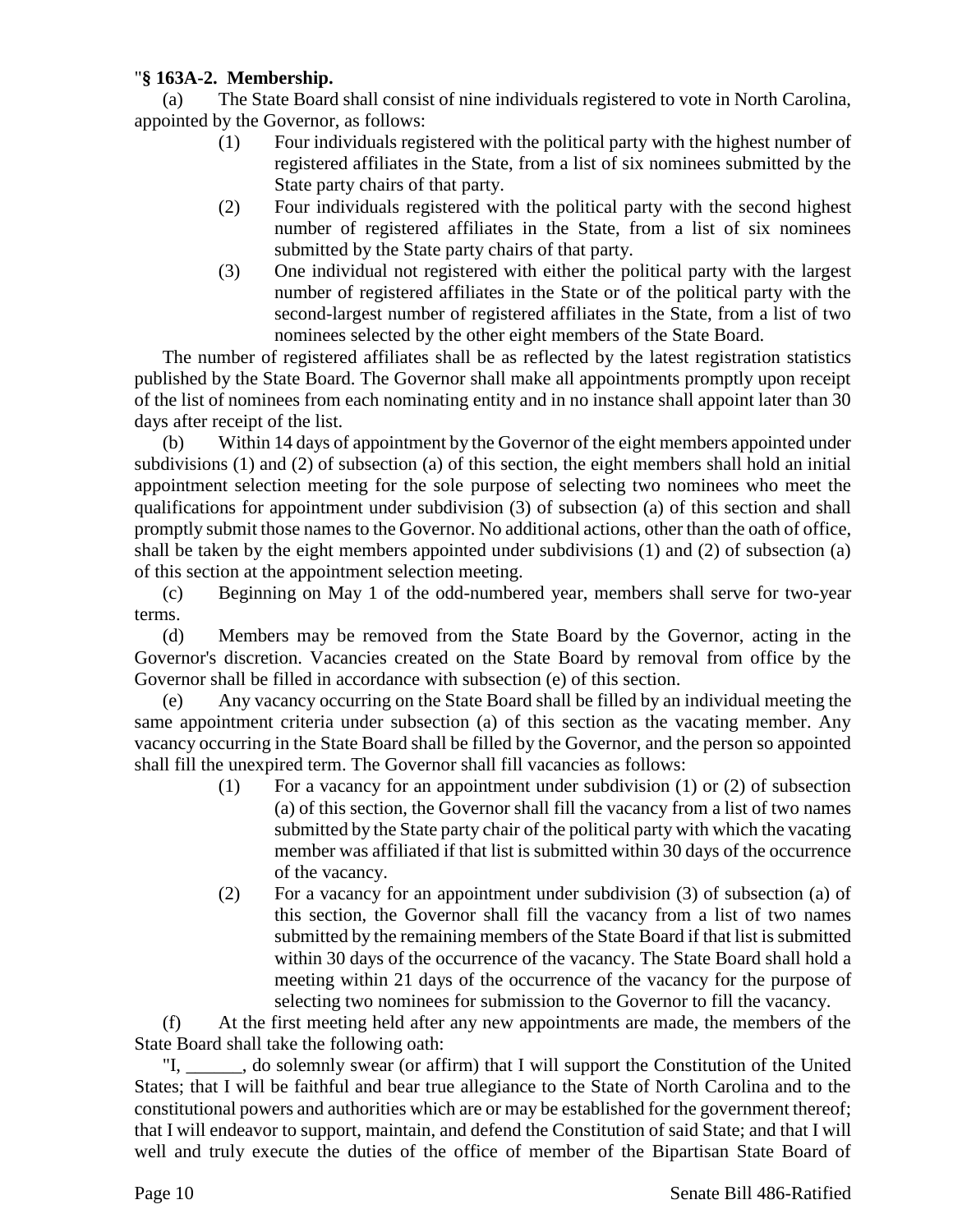### "**§ 163A-2. Membership.**

(a) The State Board shall consist of nine individuals registered to vote in North Carolina, appointed by the Governor, as follows:

- (1) Four individuals registered with the political party with the highest number of registered affiliates in the State, from a list of six nominees submitted by the State party chairs of that party.
- (2) Four individuals registered with the political party with the second highest number of registered affiliates in the State, from a list of six nominees submitted by the State party chairs of that party.
- (3) One individual not registered with either the political party with the largest number of registered affiliates in the State or of the political party with the second-largest number of registered affiliates in the State, from a list of two nominees selected by the other eight members of the State Board.

The number of registered affiliates shall be as reflected by the latest registration statistics published by the State Board. The Governor shall make all appointments promptly upon receipt of the list of nominees from each nominating entity and in no instance shall appoint later than 30 days after receipt of the list.

(b) Within 14 days of appointment by the Governor of the eight members appointed under subdivisions (1) and (2) of subsection (a) of this section, the eight members shall hold an initial appointment selection meeting for the sole purpose of selecting two nominees who meet the qualifications for appointment under subdivision (3) of subsection (a) of this section and shall promptly submit those names to the Governor. No additional actions, other than the oath of office, shall be taken by the eight members appointed under subdivisions (1) and (2) of subsection (a) of this section at the appointment selection meeting.

(c) Beginning on May 1 of the odd-numbered year, members shall serve for two-year terms.

(d) Members may be removed from the State Board by the Governor, acting in the Governor's discretion. Vacancies created on the State Board by removal from office by the Governor shall be filled in accordance with subsection (e) of this section.

(e) Any vacancy occurring on the State Board shall be filled by an individual meeting the same appointment criteria under subsection (a) of this section as the vacating member. Any vacancy occurring in the State Board shall be filled by the Governor, and the person so appointed shall fill the unexpired term. The Governor shall fill vacancies as follows:

- (1) For a vacancy for an appointment under subdivision (1) or (2) of subsection (a) of this section, the Governor shall fill the vacancy from a list of two names submitted by the State party chair of the political party with which the vacating member was affiliated if that list is submitted within 30 days of the occurrence of the vacancy.
- (2) For a vacancy for an appointment under subdivision (3) of subsection (a) of this section, the Governor shall fill the vacancy from a list of two names submitted by the remaining members of the State Board if that list is submitted within 30 days of the occurrence of the vacancy. The State Board shall hold a meeting within 21 days of the occurrence of the vacancy for the purpose of selecting two nominees for submission to the Governor to fill the vacancy.

(f) At the first meeting held after any new appointments are made, the members of the State Board shall take the following oath:

"I, \_\_\_\_\_\_, do solemnly swear (or affirm) that I will support the Constitution of the United States; that I will be faithful and bear true allegiance to the State of North Carolina and to the constitutional powers and authorities which are or may be established for the government thereof; that I will endeavor to support, maintain, and defend the Constitution of said State; and that I will well and truly execute the duties of the office of member of the Bipartisan State Board of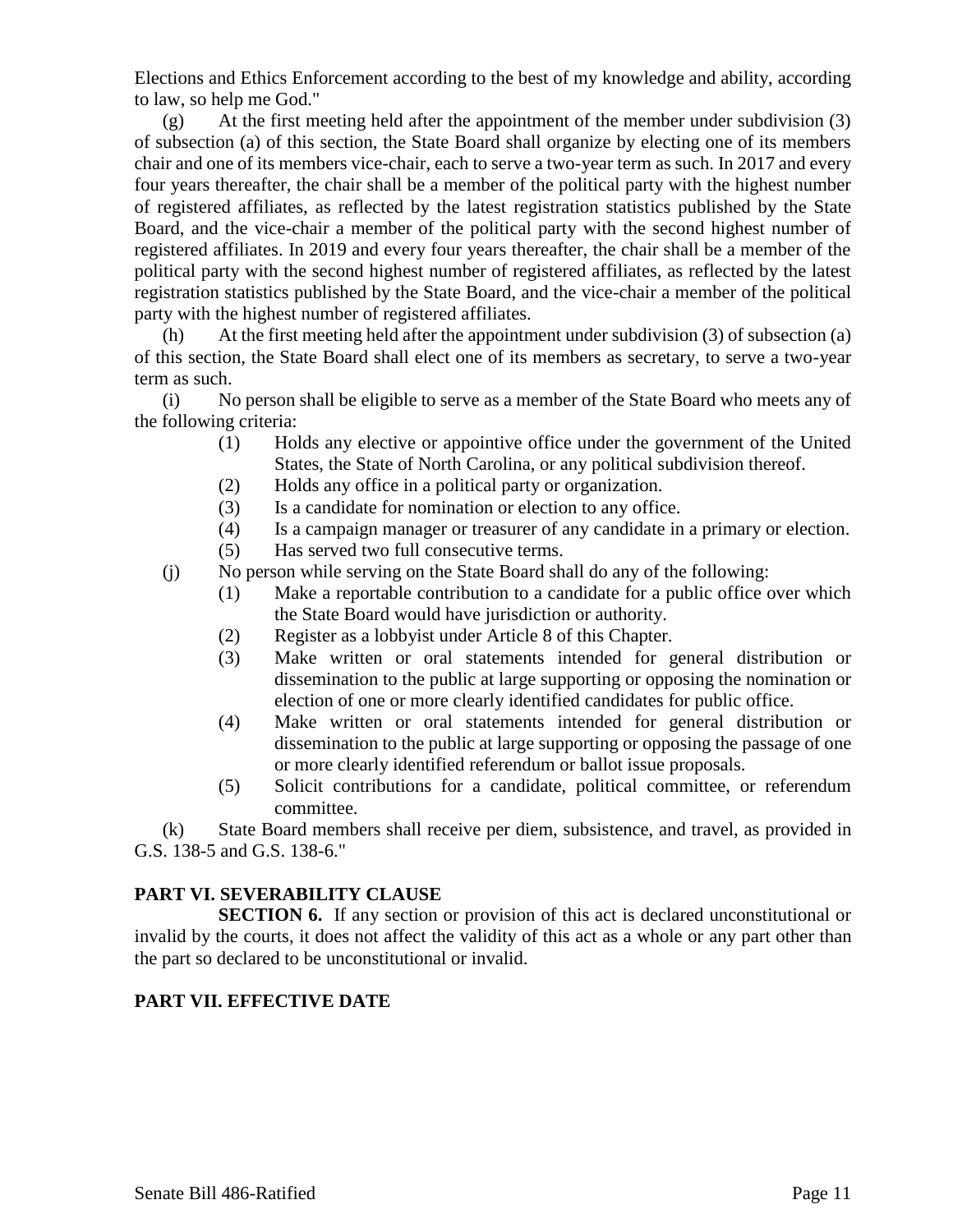Elections and Ethics Enforcement according to the best of my knowledge and ability, according to law, so help me God."

 $(g)$  At the first meeting held after the appointment of the member under subdivision (3) of subsection (a) of this section, the State Board shall organize by electing one of its members chair and one of its members vice-chair, each to serve a two-year term as such. In 2017 and every four years thereafter, the chair shall be a member of the political party with the highest number of registered affiliates, as reflected by the latest registration statistics published by the State Board, and the vice-chair a member of the political party with the second highest number of registered affiliates. In 2019 and every four years thereafter, the chair shall be a member of the political party with the second highest number of registered affiliates, as reflected by the latest registration statistics published by the State Board, and the vice-chair a member of the political party with the highest number of registered affiliates.

(h) At the first meeting held after the appointment under subdivision (3) of subsection (a) of this section, the State Board shall elect one of its members as secretary, to serve a two-year term as such.

(i) No person shall be eligible to serve as a member of the State Board who meets any of the following criteria:

- (1) Holds any elective or appointive office under the government of the United States, the State of North Carolina, or any political subdivision thereof.
- (2) Holds any office in a political party or organization.
- (3) Is a candidate for nomination or election to any office.
- (4) Is a campaign manager or treasurer of any candidate in a primary or election.
- (5) Has served two full consecutive terms.
- (j) No person while serving on the State Board shall do any of the following:
	- (1) Make a reportable contribution to a candidate for a public office over which the State Board would have jurisdiction or authority.
	- (2) Register as a lobbyist under Article 8 of this Chapter.
	- (3) Make written or oral statements intended for general distribution or dissemination to the public at large supporting or opposing the nomination or election of one or more clearly identified candidates for public office.
	- (4) Make written or oral statements intended for general distribution or dissemination to the public at large supporting or opposing the passage of one or more clearly identified referendum or ballot issue proposals.
	- (5) Solicit contributions for a candidate, political committee, or referendum committee.

(k) State Board members shall receive per diem, subsistence, and travel, as provided in G.S. 138-5 and G.S. 138-6."

#### **PART VI. SEVERABILITY CLAUSE**

**SECTION 6.** If any section or provision of this act is declared unconstitutional or invalid by the courts, it does not affect the validity of this act as a whole or any part other than the part so declared to be unconstitutional or invalid.

#### **PART VII. EFFECTIVE DATE**